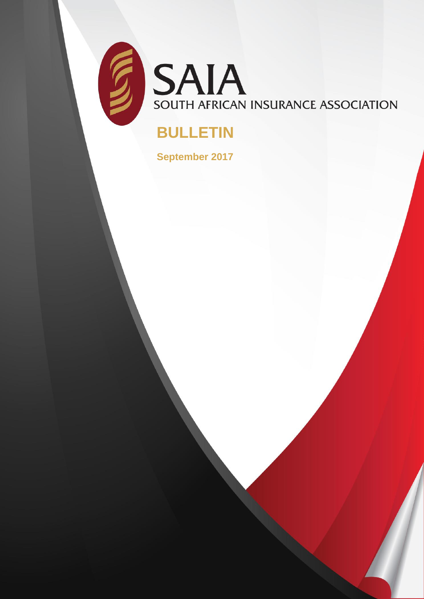

SAIA SOUTH AFRICAN INSURANCE ASSOCIATION

# **BULLETIN**

**September 2017**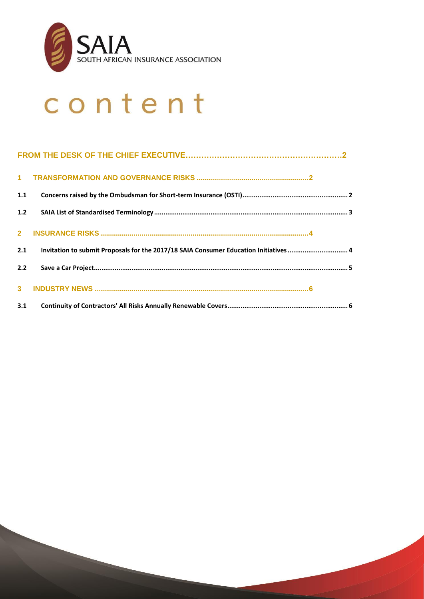

# content

| Invitation to submit Proposals for the 2017/18 SAIA Consumer Education Initiatives 4 |  |
|--------------------------------------------------------------------------------------|--|
|                                                                                      |  |
|                                                                                      |  |
| 3.1                                                                                  |  |
|                                                                                      |  |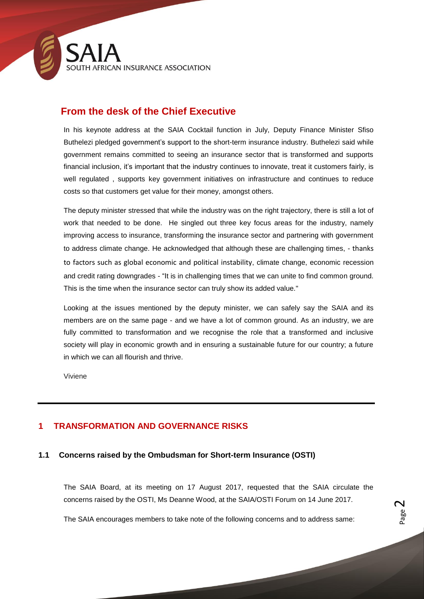

# **From the desk of the Chief Executive**

In his keynote address at the SAIA Cocktail function in July, Deputy Finance Minister Sfiso Buthelezi pledged government's support to the short-term insurance industry. Buthelezi said while government remains committed to seeing an insurance sector that is transformed and supports financial inclusion, it's important that the industry continues to innovate, treat it customers fairly, is well regulated , supports key government initiatives on infrastructure and continues to reduce costs so that customers get value for their money, amongst others.

The deputy minister stressed that while the industry was on the right trajectory, there is still a lot of work that needed to be done. He singled out three key focus areas for the industry, namely improving access to insurance, transforming the insurance sector and partnering with government to address climate change. He acknowledged that although these are challenging times, - thanks to factors such as global economic and political instability, climate change, economic recession and credit rating downgrades - "It is in challenging times that we can unite to find common ground. This is the time when the insurance sector can truly show its added value."

Looking at the issues mentioned by the deputy minister, we can safely say the SAIA and its members are on the same page - and we have a lot of common ground. As an industry, we are fully committed to transformation and we recognise the role that a transformed and inclusive society will play in economic growth and in ensuring a sustainable future for our country; a future in which we can all flourish and thrive.

Viviene

# <span id="page-2-0"></span>**1 TRANSFORMATION AND GOVERNANCE RISKS**

# <span id="page-2-1"></span>**1.1 Concerns raised by the Ombudsman for Short-term Insurance (OSTI)**

The SAIA Board, at its meeting on 17 August 2017, requested that the SAIA circulate the concerns raised by the OSTI, Ms Deanne Wood, at the SAIA/OSTI Forum on 14 June 2017.

The SAIA encourages members to take note of the following concerns and to address same: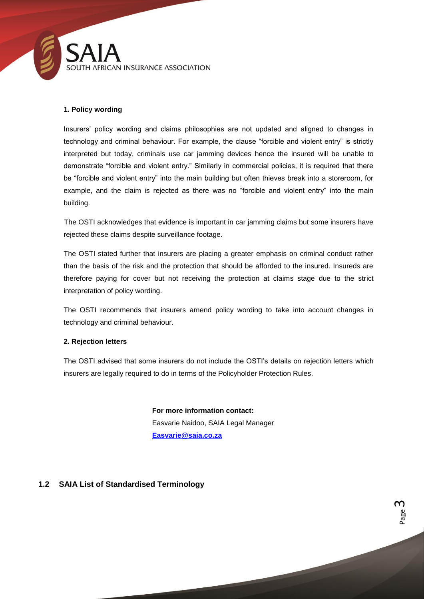

#### **1. Policy wording**

Insurers' policy wording and claims philosophies are not updated and aligned to changes in technology and criminal behaviour. For example, the clause "forcible and violent entry" is strictly interpreted but today, criminals use car jamming devices hence the insured will be unable to demonstrate "forcible and violent entry." Similarly in commercial policies, it is required that there be "forcible and violent entry" into the main building but often thieves break into a storeroom, for example, and the claim is rejected as there was no "forcible and violent entry" into the main building.

The OSTI acknowledges that evidence is important in car jamming claims but some insurers have rejected these claims despite surveillance footage.

The OSTI stated further that insurers are placing a greater emphasis on criminal conduct rather than the basis of the risk and the protection that should be afforded to the insured. Insureds are therefore paying for cover but not receiving the protection at claims stage due to the strict interpretation of policy wording.

The OSTI recommends that insurers amend policy wording to take into account changes in technology and criminal behaviour.

#### **2. Rejection letters**

The OSTI advised that some insurers do not include the OSTI's details on rejection letters which insurers are legally required to do in terms of the Policyholder Protection Rules.

> **For more information contact:** Easvarie Naidoo, SAIA Legal Manager **[Easvarie@saia.co.za](mailto:Easvarie@saia.co.za)**

# <span id="page-3-0"></span>**1.2 SAIA List of Standardised Terminology**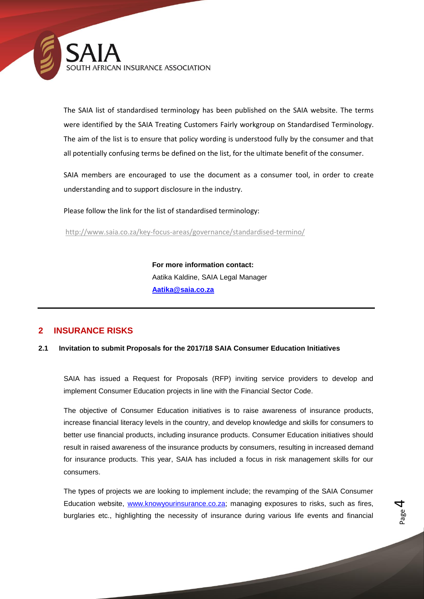

The SAIA list of standardised terminology has been published on the SAIA website. The terms were identified by the SAIA Treating Customers Fairly workgroup on Standardised Terminology. The aim of the list is to ensure that policy wording is understood fully by the consumer and that all potentially confusing terms be defined on the list, for the ultimate benefit of the consumer.

SAIA members are encouraged to use the document as a consumer tool, in order to create understanding and to support disclosure in the industry.

Please follow the link for the list of standardised terminology:

<http://www.saia.co.za/key-focus-areas/governance/standardised-termino/>

**For more information contact:** Aatika Kaldine, SAIA Legal Manager **Aatika@saia.co.za**

# <span id="page-4-0"></span>**2 INSURANCE RISKS**

#### <span id="page-4-1"></span>**2.1 Invitation to submit Proposals for the 2017/18 SAIA Consumer Education Initiatives**

SAIA has issued a Request for Proposals (RFP) inviting service providers to develop and implement Consumer Education projects in line with the Financial Sector Code.

The objective of Consumer Education initiatives is to raise awareness of insurance products, increase financial literacy levels in the country, and develop knowledge and skills for consumers to better use financial products, including insurance products. Consumer Education initiatives should result in raised awareness of the insurance products by consumers, resulting in increased demand for insurance products. This year, SAIA has included a focus in risk management skills for our consumers.

The types of projects we are looking to implement include; the revamping of the SAIA Consumer Education website, [www.knowyourinsurance.co.za;](http://www.knowyourinsurance.co.za/) managing exposures to risks, such as fires, burglaries etc., highlighting the necessity of insurance during various life events and financial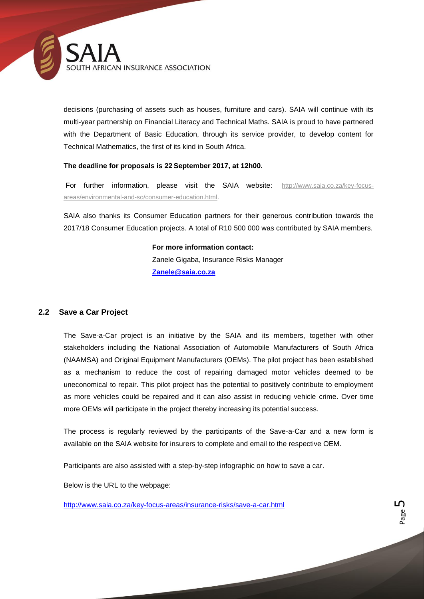

decisions (purchasing of assets such as houses, furniture and cars). SAIA will continue with its multi-year partnership on Financial Literacy and Technical Maths. SAIA is proud to have partnered with the Department of Basic Education, through its service provider, to develop content for Technical Mathematics, the first of its kind in South Africa.

#### **The deadline for proposals is 22 September 2017, at 12h00.**

For further information, please visit the SAIA website: [http://www.saia.co.za/key-focus](http://www.saia.co.za/key-focus-areas/environmental-and-so/consumer-education.html)[areas/environmental-and-so/consumer-education.html.](http://www.saia.co.za/key-focus-areas/environmental-and-so/consumer-education.html)

SAIA also thanks its Consumer Education partners for their generous contribution towards the 2017/18 Consumer Education projects. A total of R10 500 000 was contributed by SAIA members.

> **For more information contact:** Zanele Gigaba, Insurance Risks Manager **Zanele@saia.co.za**

#### <span id="page-5-0"></span>**2.2 Save a Car Project**

The Save-a-Car project is an initiative by the SAIA and its members, together with other stakeholders including the National Association of Automobile Manufacturers of South Africa (NAAMSA) and Original Equipment Manufacturers (OEMs). The pilot project has been established as a mechanism to reduce the cost of repairing damaged motor vehicles deemed to be uneconomical to repair. This pilot project has the potential to positively contribute to employment as more vehicles could be repaired and it can also assist in reducing vehicle crime. Over time more OEMs will participate in the project thereby increasing its potential success.

The process is regularly reviewed by the participants of the Save-a-Car and a new form is available on the SAIA website for insurers to complete and email to the respective OEM.

Participants are also assisted with a step-by-step infographic on how to save a car.

Below is the URL to the webpage:

<http://www.saia.co.za/key-focus-areas/insurance-risks/save-a-car.html>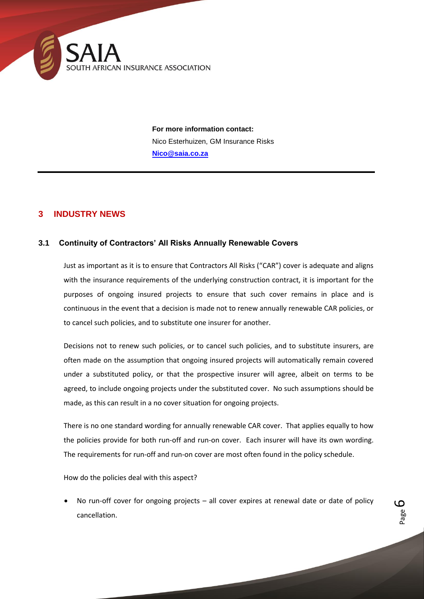

**For more information contact:** Nico Esterhuizen, GM Insurance Risks **Nico@saia.co.za**

# <span id="page-6-0"></span>**3 INDUSTRY NEWS**

### <span id="page-6-1"></span>**3.1 Continuity of Contractors' All Risks Annually Renewable Covers**

Just as important as it is to ensure that Contractors All Risks ("CAR") cover is adequate and aligns with the insurance requirements of the underlying construction contract, it is important for the purposes of ongoing insured projects to ensure that such cover remains in place and is continuous in the event that a decision is made not to renew annually renewable CAR policies, or to cancel such policies, and to substitute one insurer for another.

Decisions not to renew such policies, or to cancel such policies, and to substitute insurers, are often made on the assumption that ongoing insured projects will automatically remain covered under a substituted policy, or that the prospective insurer will agree, albeit on terms to be agreed, to include ongoing projects under the substituted cover. No such assumptions should be made, as this can result in a no cover situation for ongoing projects.

There is no one standard wording for annually renewable CAR cover. That applies equally to how the policies provide for both run-off and run-on cover. Each insurer will have its own wording. The requirements for run-off and run-on cover are most often found in the policy schedule.

How do the policies deal with this aspect?

 No run-off cover for ongoing projects – all cover expires at renewal date or date of policy cancellation.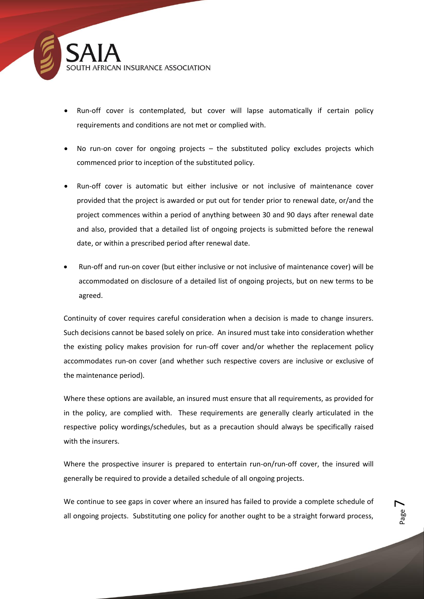

- Run-off cover is contemplated, but cover will lapse automatically if certain policy requirements and conditions are not met or complied with.
- No run-on cover for ongoing projects the substituted policy excludes projects which commenced prior to inception of the substituted policy.
- Run-off cover is automatic but either inclusive or not inclusive of maintenance cover provided that the project is awarded or put out for tender prior to renewal date, or/and the project commences within a period of anything between 30 and 90 days after renewal date and also, provided that a detailed list of ongoing projects is submitted before the renewal date, or within a prescribed period after renewal date.
- Run-off and run-on cover (but either inclusive or not inclusive of maintenance cover) will be accommodated on disclosure of a detailed list of ongoing projects, but on new terms to be agreed.

Continuity of cover requires careful consideration when a decision is made to change insurers. Such decisions cannot be based solely on price. An insured must take into consideration whether the existing policy makes provision for run-off cover and/or whether the replacement policy accommodates run-on cover (and whether such respective covers are inclusive or exclusive of the maintenance period).

Where these options are available, an insured must ensure that all requirements, as provided for in the policy, are complied with. These requirements are generally clearly articulated in the respective policy wordings/schedules, but as a precaution should always be specifically raised with the insurers.

Where the prospective insurer is prepared to entertain run-on/run-off cover, the insured will generally be required to provide a detailed schedule of all ongoing projects.

We continue to see gaps in cover where an insured has failed to provide a complete schedule of all ongoing projects. Substituting one policy for another ought to be a straight forward process,